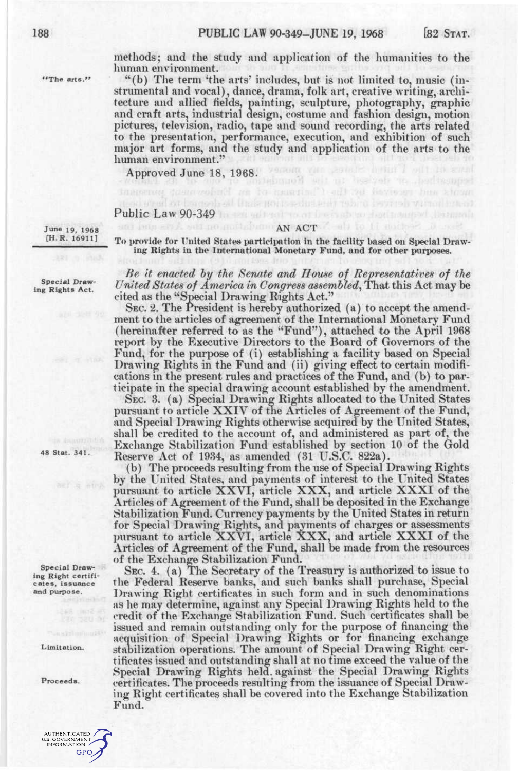$'{}^t$ The arts."

methods; and the study and application of the humanities to the human environment.

"(b) The term 'the arts' includes, but is not limited to, music (instrumental and vocal), dance, drama, folk art, creative writing, architecture and allied fields, painting, sculpture, photography, graphic and craft arts, industrial design, costume and fashion design, motion pictures, television, radio, tape and sound recording, the arts related to the presentation, performance, execution, and exhibition of such major art forms, and the study and application of the arts to the human environment."

Approved June 18, 1968.

## Public Law 90-349

June 19, 1968 [H.R. 16911]

ing Rights in the International Monetary Fund, and for other purposes.

Special Drawing Rights Act.

48 Stat. 341.

Special Drawing Right certificates, issuance and purpose.

Limitation.

Proceeds.



**AN ACT** To provide for United States participation in the facility based on Special Draw-

beault 79d Havessen hem

*Be It enacted hy the Senate and House of Representatives of the United States of America in Congress assembled^* That this Act may be cited as the "Special Drawing Rights Act."

SEC. 2. The President is hereby authorized (a) to accept the amendment to the articles of agreement of the International Monetary Fund (hereinafter referred to as the "Fund"), attached to the April 1968 report by the Executive Directors to the Board of Governors of the Fund, for the purpose of (i) establishing a facility based on Special Drawing Rights in the Fund and (ii) giving effect to certain modifications in the present rules and practices of the Fund, and (b) to participate in the special drawing account established by the amendment.

SEC. 3. (a) Special Drawing Rights allocated to the United States pursuant to article XXIV of the Articles of Agreement of the Fund, and Special Drawing Rights otherwise acquired by the United States, shall be credited to the account of, and administered as part of, the Exchange Stabilization Fund established by section 10 of the Gold Reserve Act of 1984, as amended (31 U.S.C. 822a).

(b) The proceeds resulting from the use of Special Drawing Rights by the LTnited States, and payments of interest to the United States pursuant to article XXVI, article XXX, and article XXXI of the Articles of Agreement of the Fund, shall be deposited in the Exchange Stabilization Fund. Currency payments by the United States in return for Special Drawing Rights, and payments of charges or assessments pursuant to article XXVI, article XXX, and article XXXI of the Articles of Agreement of the Fund, shall be made from the resources of the Exchange Stabilization Fund.

SEC. 4. (a) The Secretary of the Treasury is authorized to issue to the Federal Reserve banks, and such banks shall purchase. Special Drawing Right certificates in such form and in such denominations as he may determine, against any Special Drawing Rights held to the credit of the Exchange Stabilization Fund. Such certificates shall be issued and remain outstanding only for the purpose of financing the acquisition of Special Drawing Rights or for financing exchange stabilization operations. The amount of Special Drawing Right certificates issued and outstanding shall at no time exceed the value of the Special Drawing Rights held, against the Special Drawing Rights certificates. The proceeds resulting from the issuance of Special Drawing Right certificates shall be covered into the Exchange Stabilization Fund.